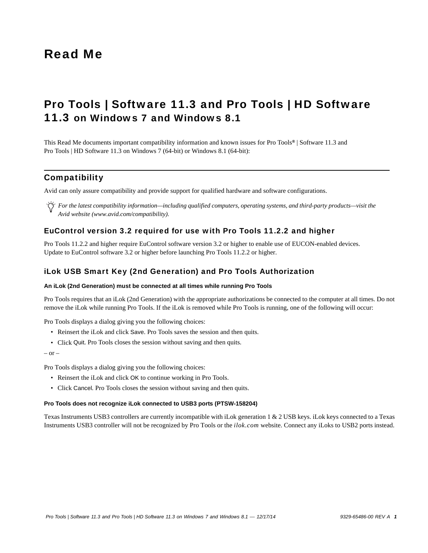# Read Me

# Pro Tools | Software 11.3 and Pro Tools | HD Software 11.3 on Windows 7 and Windows 8.1

This Read Me documents important compatibility information and known issues for Pro Tools*®* | Software 11.3 and Pro Tools | HD Software 11.3 on Windows 7 (64-bit) or Windows 8.1 (64-bit):

### **Compatibility**

Avid can only assure compatibility and provide support for qualified hardware and software configurations.

*For the latest compatibility information—including qualified computers, operating systems, and third-party products—visit the Avid website (www.avid.com/compatibility).*

### EuControl version 3.2 required for use with Pro Tools 11.2.2 and higher

Pro Tools 11.2.2 and higher require EuControl software version 3.2 or higher to enable use of EUCON-enabled devices. Update to EuControl software 3.2 or higher before launching Pro Tools 11.2.2 or higher.

### iLok USB Smart Key (2nd Generation) and Pro Tools Authorization

#### **An iLok (2nd Generation) must be connected at all times while running Pro Tools**

Pro Tools requires that an iLok (2nd Generation) with the appropriate authorizations be connected to the computer at all times. Do not remove the iLok while running Pro Tools. If the iLok is removed while Pro Tools is running, one of the following will occur:

Pro Tools displays a dialog giving you the following choices:

- Reinsert the iLok and click Save. Pro Tools saves the session and then quits.
- Click Quit. Pro Tools closes the session without saving and then quits.

 $-$  or  $-$ 

Pro Tools displays a dialog giving you the following choices:

- Reinsert the iLok and click OK to continue working in Pro Tools.
- Click Cancel. Pro Tools closes the session without saving and then quits.

#### **Pro Tools does not recognize iLok connected to USB3 ports (PTSW-158204)**

Texas Instruments USB3 controllers are currently incompatible with iLok generation 1 & 2 USB keys. iLok keys connected to a Texas Instruments USB3 controller will not be recognized by Pro Tools or the *ilok.com* website. Connect any iLoks to USB2 ports instead.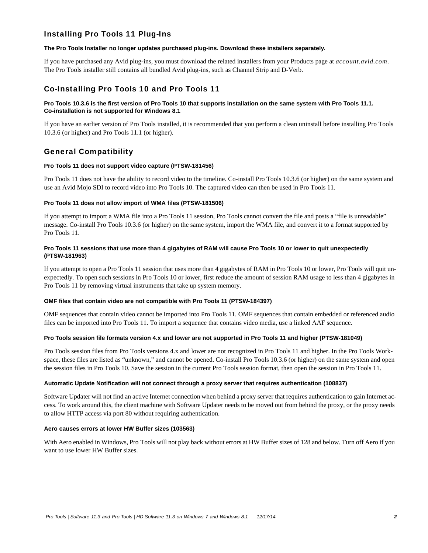### Installing Pro Tools 11 Plug-Ins

#### **The Pro Tools Installer no longer updates purchased plug-ins. Download these installers separately.**

If you have purchased any Avid plug-ins, you must download the related installers from your Products page at *account.avid.com*. The Pro Tools installer still contains all bundled Avid plug-ins, such as Channel Strip and D-Verb.

### Co-Installing Pro Tools 10 and Pro Tools 11

#### **Pro Tools 10.3.6 is the first version of Pro Tools 10 that supports installation on the same system with Pro Tools 11.1. Co-installation is not supported for Windows 8.1**

If you have an earlier version of Pro Tools installed, it is recommended that you perform a clean uninstall before installing Pro Tools 10.3.6 (or higher) and Pro Tools 11.1 (or higher).

### General Compatibility

#### **Pro Tools 11 does not support video capture (PTSW-181456)**

Pro Tools 11 does not have the ability to record video to the timeline. Co-install Pro Tools 10.3.6 (or higher) on the same system and use an Avid Mojo SDI to record video into Pro Tools 10. The captured video can then be used in Pro Tools 11.

#### **Pro Tools 11 does not allow import of WMA files (PTSW-181506)**

If you attempt to import a WMA file into a Pro Tools 11 session, Pro Tools cannot convert the file and posts a "file is unreadable" message. Co-install Pro Tools 10.3.6 (or higher) on the same system, import the WMA file, and convert it to a format supported by Pro Tools 11.

#### **Pro Tools 11 sessions that use more than 4 gigabytes of RAM will cause Pro Tools 10 or lower to quit unexpectedly (PTSW-181963)**

If you attempt to open a Pro Tools 11 session that uses more than 4 gigabytes of RAM in Pro Tools 10 or lower, Pro Tools will quit unexpectedly. To open such sessions in Pro Tools 10 or lower, first reduce the amount of session RAM usage to less than 4 gigabytes in Pro Tools 11 by removing virtual instruments that take up system memory.

#### **OMF files that contain video are not compatible with Pro Tools 11 (PTSW-184397)**

OMF sequences that contain video cannot be imported into Pro Tools 11. OMF sequences that contain embedded or referenced audio files can be imported into Pro Tools 11. To import a sequence that contains video media, use a linked AAF sequence.

#### **Pro Tools session file formats version 4.x and lower are not supported in Pro Tools 11 and higher (PTSW-181049)**

Pro Tools session files from Pro Tools versions 4.x and lower are not recognized in Pro Tools 11 and higher. In the Pro Tools Workspace, these files are listed as "unknown," and cannot be opened. Co-install Pro Tools 10.3.6 (or higher) on the same system and open the session files in Pro Tools 10. Save the session in the current Pro Tools session format, then open the session in Pro Tools 11.

#### **Automatic Update Notification will not connect through a proxy server that requires authentication (108837)**

Software Updater will not find an active Internet connection when behind a proxy server that requires authentication to gain Internet access. To work around this, the client machine with Software Updater needs to be moved out from behind the proxy, or the proxy needs to allow HTTP access via port 80 without requiring authentication.

#### **Aero causes errors at lower HW Buffer sizes (103563)**

With Aero enabled in Windows, Pro Tools will not play back without errors at HW Buffer sizes of 128 and below. Turn off Aero if you want to use lower HW Buffer sizes.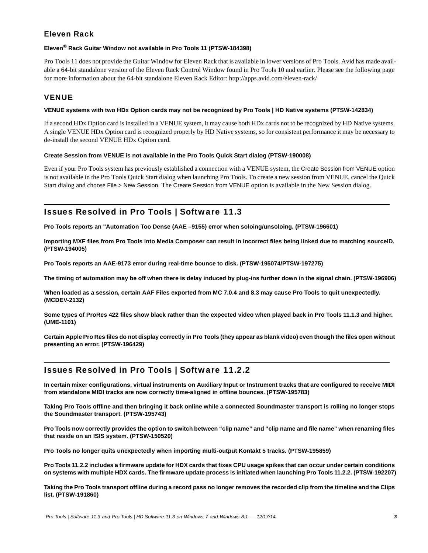# Eleven Rack

#### **Eleven® Rack Guitar Window not available in Pro Tools 11 (PTSW-184398)**

Pro Tools 11 does not provide the Guitar Window for Eleven Rack that is available in lower versions of Pro Tools. Avid has made available a 64-bit standalone version of the Eleven Rack Control Window found in Pro Tools 10 and earlier. Please see the following page for more information about the 64-bit standalone Eleven Rack Editor: http://apps.avid.com/eleven-rack/

### VENUE

#### **VENUE systems with two HDx Option cards may not be recognized by Pro Tools | HD Native systems (PTSW-142834)**

If a second HDx Option card is installed in a VENUE system, it may cause both HDx cards not to be recognized by HD Native systems. A single VENUE HDx Option card is recognized properly by HD Native systems, so for consistent performance it may be necessary to de-install the second VENUE HDx Option card.

#### **Create Session from VENUE is not available in the Pro Tools Quick Start dialog (PTSW-190008)**

Even if your Pro Tools system has previously established a connection with a VENUE system, the Create Session from VENUE option is not available in the Pro Tools Quick Start dialog when launching Pro Tools. To create a new session from VENUE, cancel the Quick Start dialog and choose File > New Session. The Create Session from VENUE option is available in the New Session dialog.

# Issues Resolved in Pro Tools | Software 11.3

**Pro Tools reports an "Automation Too Dense (AAE –9155) error when soloing/unsoloing. (PTSW-196601)**

**Importing MXF files from Pro Tools into Media Composer can result in incorrect files being linked due to matching sourceID. (PTSW-194005)**

**Pro Tools reports an AAE-9173 error during real-time bounce to disk. (PTSW-195074/PTSW-197275)**

**The timing of automation may be off when there is delay induced by plug-ins further down in the signal chain. (PTSW-196906)**

**When loaded as a session, certain AAF Files exported from MC 7.0.4 and 8.3 may cause Pro Tools to quit unexpectedly. (MCDEV-2132)**

**Some types of ProRes 422 files show black rather than the expected video when played back in Pro Tools 11.1.3 and higher. (UME-1101)**

**Certain Apple Pro Res files do not display correctly in Pro Tools (they appear as blank video) even though the files open without presenting an error. (PTSW-196429)**

# Issues Resolved in Pro Tools | Software 11.2.2

**In certain mixer configurations, virtual instruments on Auxiliary Input or Instrument tracks that are configured to receive MIDI from standalone MIDI tracks are now correctly time-aligned in offline bounces. (PTSW-195783)**

**Taking Pro Tools offline and then bringing it back online while a connected Soundmaster transport is rolling no longer stops the Soundmaster transport. (PTSW-195743)**

**Pro Tools now correctly provides the option to switch between "clip name" and "clip name and file name" when renaming files that reside on an ISIS system. (PTSW-150520)**

**Pro Tools no longer quits unexpectedly when importing multi-output Kontakt 5 tracks. (PTSW-195859)**

**Pro Tools 11.2.2 includes a firmware update for HDX cards that fixes CPU usage spikes that can occur under certain conditions on systems with multiple HDX cards. The firmware update process is initiated when launching Pro Tools 11.2.2. (PTSW-192207)**

**Taking the Pro Tools transport offline during a record pass no longer removes the recorded clip from the timeline and the Clips list. (PTSW-191860)**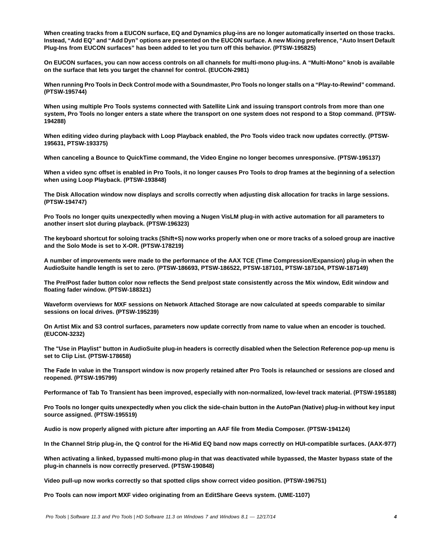**When creating tracks from a EUCON surface, EQ and Dynamics plug-ins are no longer automatically inserted on those tracks. Instead, "Add EQ" and "Add Dyn" options are presented on the EUCON surface. A new Mixing preference, "Auto Insert Default Plug-Ins from EUCON surfaces" has been added to let you turn off this behavior. (PTSW-195825)**

**On EUCON surfaces, you can now access controls on all channels for multi-mono plug-ins. A "Multi-Mono" knob is available on the surface that lets you target the channel for control. (EUCON-2981)**

**When running Pro Tools in Deck Control mode with a Soundmaster, Pro Tools no longer stalls on a "Play-to-Rewind" command. (PTSW-195744)**

**When using multiple Pro Tools systems connected with Satellite Link and issuing transport controls from more than one system, Pro Tools no longer enters a state where the transport on one system does not respond to a Stop command. (PTSW-194288)**

**When editing video during playback with Loop Playback enabled, the Pro Tools video track now updates correctly. (PTSW-195631, PTSW-193375)**

**When canceling a Bounce to QuickTime command, the Video Engine no longer becomes unresponsive. (PTSW-195137)**

**When a video sync offset is enabled in Pro Tools, it no longer causes Pro Tools to drop frames at the beginning of a selection when using Loop Playback. (PTSW-193848)**

**The Disk Allocation window now displays and scrolls correctly when adjusting disk allocation for tracks in large sessions. (PTSW-194747)**

**Pro Tools no longer quits unexpectedly when moving a Nugen VisLM plug-in with active automation for all parameters to another insert slot during playback. (PTSW-196323)**

**The keyboard shortcut for soloing tracks (Shift+S) now works properly when one or more tracks of a soloed group are inactive and the Solo Mode is set to X-OR. (PTSW-178219)**

**A number of improvements were made to the performance of the AAX TCE (Time Compression/Expansion) plug-in when the AudioSuite handle length is set to zero. (PTSW-186693, PTSW-186522, PTSW-187101, PTSW-187104, PTSW-187149)**

**The Pre/Post fader button color now reflects the Send pre/post state consistently across the Mix window, Edit window and floating fader window. (PTSW-188321)**

**Waveform overviews for MXF sessions on Network Attached Storage are now calculated at speeds comparable to similar sessions on local drives. (PTSW-195239)**

**On Artist Mix and S3 control surfaces, parameters now update correctly from name to value when an encoder is touched. (EUCON-3232)**

**The "Use in Playlist" button in AudioSuite plug-in headers is correctly disabled when the Selection Reference pop-up menu is set to Clip List. (PTSW-178658)**

**The Fade In value in the Transport window is now properly retained after Pro Tools is relaunched or sessions are closed and reopened. (PTSW-195799)**

**Performance of Tab To Transient has been improved, especially with non-normalized, low-level track material. (PTSW-195188)**

**Pro Tools no longer quits unexpectedly when you click the side-chain button in the AutoPan (Native) plug-in without key input source assigned. (PTSW-195519)**

**Audio is now properly aligned with picture after importing an AAF file from Media Composer. (PTSW-194124)**

**In the Channel Strip plug-in, the Q control for the Hi-Mid EQ band now maps correctly on HUI-compatible surfaces. (AAX-977)**

**When activating a linked, bypassed multi-mono plug-in that was deactivated while bypassed, the Master bypass state of the plug-in channels is now correctly preserved. (PTSW-190848)**

**Video pull-up now works correctly so that spotted clips show correct video position. (PTSW-196751)**

**Pro Tools can now import MXF video originating from an EditShare Geevs system. (UME-1107)**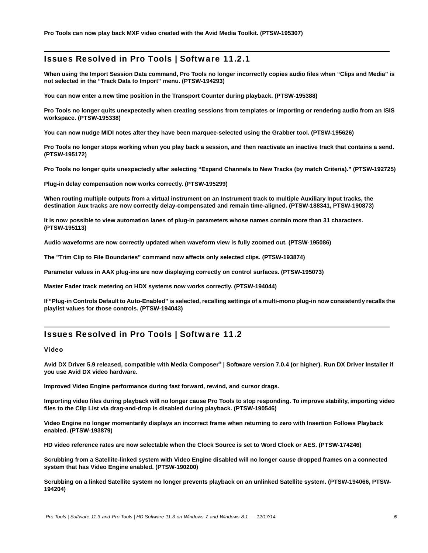### Issues Resolved in Pro Tools | Software 11.2.1

**When using the Import Session Data command, Pro Tools no longer incorrectly copies audio files when "Clips and Media" is not selected in the "Track Data to Import" menu. (PTSW-194293)**

**You can now enter a new time position in the Transport Counter during playback. (PTSW-195388)**

**Pro Tools no longer quits unexpectedly when creating sessions from templates or importing or rendering audio from an ISIS workspace. (PTSW-195338)**

**You can now nudge MIDI notes after they have been marquee-selected using the Grabber tool. (PTSW-195626)**

**Pro Tools no longer stops working when you play back a session, and then reactivate an inactive track that contains a send. (PTSW-195172)**

**Pro Tools no longer quits unexpectedly after selecting "Expand Channels to New Tracks (by match Criteria)." (PTSW-192725)**

**Plug-in delay compensation now works correctly. (PTSW-195299)**

**When routing multiple outputs from a virtual instrument on an Instrument track to multiple Auxiliary Input tracks, the destination Aux tracks are now correctly delay-compensated and remain time-aligned. (PTSW-188341, PTSW-190873)**

**It is now possible to view automation lanes of plug-in parameters whose names contain more than 31 characters. (PTSW-195113)**

**Audio waveforms are now correctly updated when waveform view is fully zoomed out. (PTSW-195086)**

**The "Trim Clip to File Boundaries" command now affects only selected clips. (PTSW-193874)**

**Parameter values in AAX plug-ins are now displaying correctly on control surfaces. (PTSW-195073)**

**Master Fader track metering on HDX systems now works correctly. (PTSW-194044)**

**If "Plug-in Controls Default to Auto-Enabled" is selected, recalling settings of a multi-mono plug-in now consistently recalls the playlist values for those controls. (PTSW-194043)**

### Issues Resolved in Pro Tools | Software 11.2

#### Video

**Avid DX Driver 5.9 released, compatible with Media Composer***®* **| Software version 7.0.4 (or higher). Run DX Driver Installer if you use Avid DX video hardware.**

**Improved Video Engine performance during fast forward, rewind, and cursor drags.**

**Importing video files during playback will no longer cause Pro Tools to stop responding. To improve stability, importing video files to the Clip List via drag-and-drop is disabled during playback. (PTSW-190546)**

**Video Engine no longer momentarily displays an incorrect frame when returning to zero with Insertion Follows Playback enabled. (PTSW-193879)**

**HD video reference rates are now selectable when the Clock Source is set to Word Clock or AES. (PTSW-174246)**

**Scrubbing from a Satellite-linked system with Video Engine disabled will no longer cause dropped frames on a connected system that has Video Engine enabled. (PTSW-190200)**

**Scrubbing on a linked Satellite system no longer prevents playback on an unlinked Satellite system. (PTSW-194066, PTSW-194204)**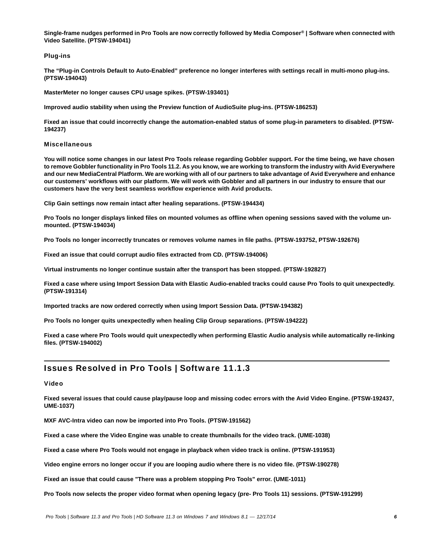**Single-frame nudges performed in Pro Tools are now correctly followed by Media Composer***®* **| Software when connected with Video Satellite. (PTSW-194041)**

#### Plug-ins

**The "Plug-in Controls Default to Auto-Enabled" preference no longer interferes with settings recall in multi-mono plug-ins. (PTSW-194043)**

**MasterMeter no longer causes CPU usage spikes. (PTSW-193401)**

**Improved audio stability when using the Preview function of AudioSuite plug-ins. (PTSW-186253)**

**Fixed an issue that could incorrectly change the automation-enabled status of some plug-in parameters to disabled. (PTSW-194237)**

#### Miscellaneous

**You will notice some changes in our latest Pro Tools release regarding Gobbler support. For the time being, we have chosen to remove Gobbler functionality in Pro Tools 11.2. As you know, we are working to transform the industry with Avid Everywhere and our new MediaCentral Platform. We are working with all of our partners to take advantage of Avid Everywhere and enhance our customers' workflows with our platform. We will work with Gobbler and all partners in our industry to ensure that our customers have the very best seamless workflow experience with Avid products.**

**Clip Gain settings now remain intact after healing separations. (PTSW-194434)**

**Pro Tools no longer displays linked files on mounted volumes as offline when opening sessions saved with the volume unmounted. (PTSW-194034)**

**Pro Tools no longer incorrectly truncates or removes volume names in file paths. (PTSW-193752, PTSW-192676)**

**Fixed an issue that could corrupt audio files extracted from CD. (PTSW-194006)**

**Virtual instruments no longer continue sustain after the transport has been stopped. (PTSW-192827)**

**Fixed a case where using Import Session Data with Elastic Audio-enabled tracks could cause Pro Tools to quit unexpectedly. (PTSW-191314)**

**Imported tracks are now ordered correctly when using Import Session Data. (PTSW-194382)**

**Pro Tools no longer quits unexpectedly when healing Clip Group separations. (PTSW-194222)**

**Fixed a case where Pro Tools would quit unexpectedly when performing Elastic Audio analysis while automatically re-linking files. (PTSW-194002)**

### Issues Resolved in Pro Tools | Software 11.1.3

#### Video

**Fixed several issues that could cause play/pause loop and missing codec errors with the Avid Video Engine. (PTSW-192437, UME-1037)**

**MXF AVC-Intra video can now be imported into Pro Tools. (PTSW-191562)**

**Fixed a case where the Video Engine was unable to create thumbnails for the video track. (UME-1038)**

**Fixed a case where Pro Tools would not engage in playback when video track is online. (PTSW-191953)**

**Video engine errors no longer occur if you are looping audio where there is no video file. (PTSW-190278)**

**Fixed an issue that could cause "There was a problem stopping Pro Tools" error. (UME-1011)**

**Pro Tools now selects the proper video format when opening legacy (pre- Pro Tools 11) sessions. (PTSW-191299)**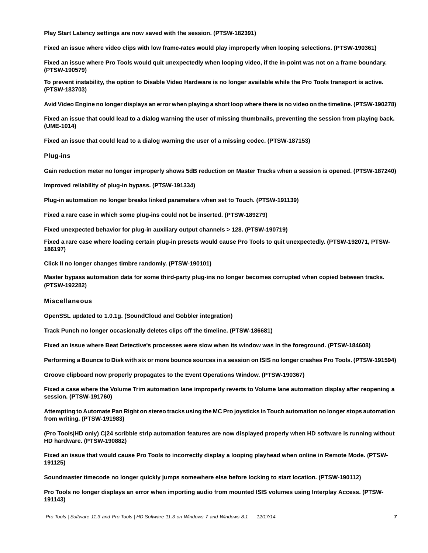**Play Start Latency settings are now saved with the session. (PTSW-182391)**

**Fixed an issue where video clips with low frame-rates would play improperly when looping selections. (PTSW-190361)**

**Fixed an issue where Pro Tools would quit unexpectedly when looping video, if the in-point was not on a frame boundary. (PTSW-190579)**

**To prevent instability, the option to Disable Video Hardware is no longer available while the Pro Tools transport is active. (PTSW-183703)**

**Avid Video Engine no longer displays an error when playing a short loop where there is no video on the timeline. (PTSW-190278)**

**Fixed an issue that could lead to a dialog warning the user of missing thumbnails, preventing the session from playing back. (UME-1014)**

**Fixed an issue that could lead to a dialog warning the user of a missing codec. (PTSW-187153)**

#### Plug-ins

**Gain reduction meter no longer improperly shows 5dB reduction on Master Tracks when a session is opened. (PTSW-187240)**

**Improved reliability of plug-in bypass. (PTSW-191334)**

**Plug-in automation no longer breaks linked parameters when set to Touch. (PTSW-191139)**

**Fixed a rare case in which some plug-ins could not be inserted. (PTSW-189279)**

**Fixed unexpected behavior for plug-in auxiliary output channels > 128. (PTSW-190719)**

**Fixed a rare case where loading certain plug-in presets would cause Pro Tools to quit unexpectedly. (PTSW-192071, PTSW-186197)**

**Click II no longer changes timbre randomly. (PTSW-190101)**

**Master bypass automation data for some third-party plug-ins no longer becomes corrupted when copied between tracks. (PTSW-192282)**

#### Miscellaneous

**OpenSSL updated to 1.0.1g. (SoundCloud and Gobbler integration)**

**Track Punch no longer occasionally deletes clips off the timeline. (PTSW-186681)**

**Fixed an issue where Beat Detective's processes were slow when its window was in the foreground. (PTSW-184608)**

**Performing a Bounce to Disk with six or more bounce sources in a session on ISIS no longer crashes Pro Tools. (PTSW-191594)**

**Groove clipboard now properly propagates to the Event Operations Window. (PTSW-190367)**

**Fixed a case where the Volume Trim automation lane improperly reverts to Volume lane automation display after reopening a session. (PTSW-191760)**

**Attempting to Automate Pan Right on stereo tracks using the MC Pro joysticks in Touch automation no longer stops automation from writing. (PTSW-191983)**

**(Pro Tools|HD only) C|24 scribble strip automation features are now displayed properly when HD software is running without HD hardware. (PTSW-190882)**

**Fixed an issue that would cause Pro Tools to incorrectly display a looping playhead when online in Remote Mode. (PTSW-191125)**

**Soundmaster timecode no longer quickly jumps somewhere else before locking to start location. (PTSW-190112)**

**Pro Tools no longer displays an error when importing audio from mounted ISIS volumes using Interplay Access. (PTSW-191143)**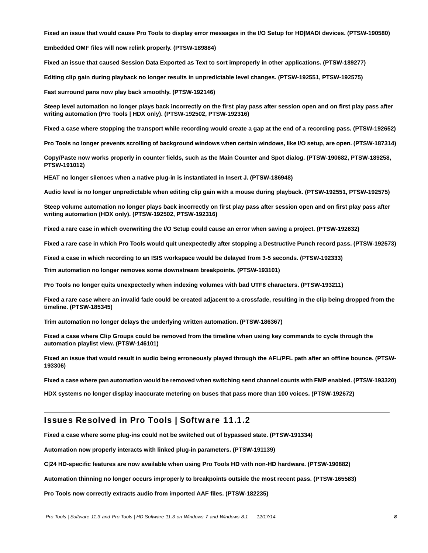**Fixed an issue that would cause Pro Tools to display error messages in the I/O Setup for HD|MADI devices. (PTSW-190580)**

**Embedded OMF files will now relink properly. (PTSW-189884)**

**Fixed an issue that caused Session Data Exported as Text to sort improperly in other applications. (PTSW-189277)**

**Editing clip gain during playback no longer results in unpredictable level changes. (PTSW-192551, PTSW-192575)**

**Fast surround pans now play back smoothly. (PTSW-192146)**

**Steep level automation no longer plays back incorrectly on the first play pass after session open and on first play pass after writing automation (Pro Tools | HDX only). (PTSW-192502, PTSW-192316)**

**Fixed a case where stopping the transport while recording would create a gap at the end of a recording pass. (PTSW-192652)**

**Pro Tools no longer prevents scrolling of background windows when certain windows, like I/O setup, are open. (PTSW-187314)**

**Copy/Paste now works properly in counter fields, such as the Main Counter and Spot dialog. (PTSW-190682, PTSW-189258, PTSW-191012)**

**HEAT no longer silences when a native plug-in is instantiated in Insert J. (PTSW-186948)**

**Audio level is no longer unpredictable when editing clip gain with a mouse during playback. (PTSW-192551, PTSW-192575)**

**Steep volume automation no longer plays back incorrectly on first play pass after session open and on first play pass after writing automation (HDX only). (PTSW-192502, PTSW-192316)**

**Fixed a rare case in which overwriting the I/O Setup could cause an error when saving a project. (PTSW-192632)**

**Fixed a rare case in which Pro Tools would quit unexpectedly after stopping a Destructive Punch record pass. (PTSW-192573)**

**Fixed a case in which recording to an ISIS workspace would be delayed from 3-5 seconds. (PTSW-192333)**

**Trim automation no longer removes some downstream breakpoints. (PTSW-193101)**

**Pro Tools no longer quits unexpectedly when indexing volumes with bad UTF8 characters. (PTSW-193211)**

**Fixed a rare case where an invalid fade could be created adjacent to a crossfade, resulting in the clip being dropped from the timeline. (PTSW-185345)**

**Trim automation no longer delays the underlying written automation. (PTSW-186367)**

**Fixed a case where Clip Groups could be removed from the timeline when using key commands to cycle through the automation playlist view. (PTSW-146101)**

**Fixed an issue that would result in audio being erroneously played through the AFL/PFL path after an offline bounce. (PTSW-193306)**

**Fixed a case where pan automation would be removed when switching send channel counts with FMP enabled. (PTSW-193320)**

**HDX systems no longer display inaccurate metering on buses that pass more than 100 voices. (PTSW-192672)**

### Issues Resolved in Pro Tools | Software 11.1.2

**Fixed a case where some plug-ins could not be switched out of bypassed state. (PTSW-191334)**

**Automation now properly interacts with linked plug-in parameters. (PTSW-191139)**

**C|24 HD-specific features are now available when using Pro Tools HD with non-HD hardware. (PTSW-190882)**

**Automation thinning no longer occurs improperly to breakpoints outside the most recent pass. (PTSW-165583)**

**Pro Tools now correctly extracts audio from imported AAF files. (PTSW-182235)**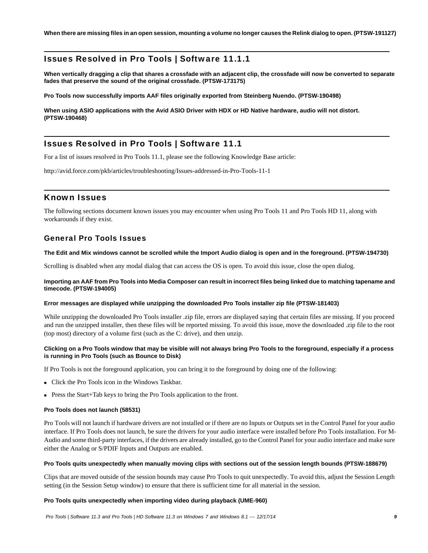**When there are missing files in an open session, mounting a volume no longer causes the Relink dialog to open. (PTSW-191127)**

# Issues Resolved in Pro Tools | Software 11.1.1

**When vertically dragging a clip that shares a crossfade with an adjacent clip, the crossfade will now be converted to separate fades that preserve the sound of the original crossfade. (PTSW-173175)**

**Pro Tools now successfully imports AAF files originally exported from Steinberg Nuendo. (PTSW-190498)**

**When using ASIO applications with the Avid ASIO Driver with HDX or HD Native hardware, audio will not distort. (PTSW-190468)**

# Issues Resolved in Pro Tools | Software 11.1

For a list of issues resolved in Pro Tools 11.1, please see the following Knowledge Base article:

<http://avid.force.com/pkb/articles/troubleshooting/Issues-addressed-in-Pro-Tools-11-1>

### Known Issues

The following sections document known issues you may encounter when using Pro Tools 11 and Pro Tools HD 11, along with workarounds if they exist.

### General Pro Tools Issues

#### **The Edit and Mix windows cannot be scrolled while the Import Audio dialog is open and in the foreground. (PTSW-194730)**

Scrolling is disabled when any modal dialog that can access the OS is open. To avoid this issue, close the open dialog.

#### **Importing an AAF from Pro Tools into Media Composer can result in incorrect files being linked due to matching tapename and timecode. (PTSW-194005)**

#### **Error messages are displayed while unzipping the downloaded Pro Tools installer zip file (PTSW-181403)**

While unzipping the downloaded Pro Tools installer .zip file, errors are displayed saying that certain files are missing. If you proceed and run the unzipped installer, then these files will be reported missing. To avoid this issue, move the downloaded .zip file to the root (top most) directory of a volume first (such as the C: drive), and then unzip.

#### **Clicking on a Pro Tools window that may be visible will not always bring Pro Tools to the foreground, especially if a process is running in Pro Tools (such as Bounce to Disk)**

If Pro Tools is not the foreground application, you can bring it to the foreground by doing one of the following:

- Click the Pro Tools icon in the Windows Taskbar.
- Press the Start+Tab keys to bring the Pro Tools application to the front.

#### **Pro Tools does not launch (58531)**

Pro Tools will not launch if hardware drivers are not installed or if there are no Inputs or Outputs set in the Control Panel for your audio interface. If Pro Tools does not launch, be sure the drivers for your audio interface were installed before Pro Tools installation. For M-Audio and some third-party interfaces, if the drivers are already installed, go to the Control Panel for your audio interface and make sure either the Analog or S/PDIF Inputs and Outputs are enabled.

#### **Pro Tools quits unexpectedly when manually moving clips with sections out of the session length bounds (PTSW-188679)**

Clips that are moved outside of the session bounds may cause Pro Tools to quit unexpectedly. To avoid this, adjust the Session Length setting (in the Session Setup window) to ensure that there is sufficient time for all material in the session.

#### **Pro Tools quits unexpectedly when importing video during playback (UME-960)**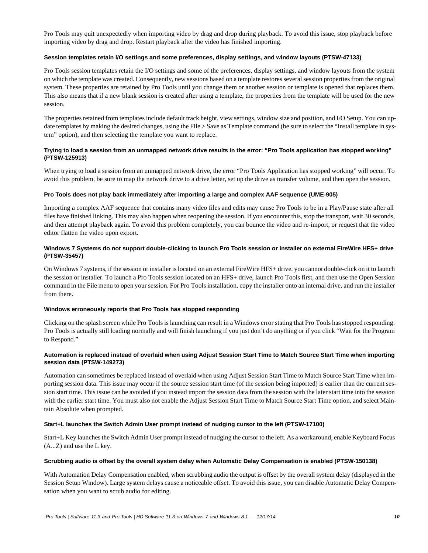Pro Tools may quit unexpectedly when importing video by drag and drop during playback. To avoid this issue, stop playback before importing video by drag and drop. Restart playback after the video has finished importing.

#### **Session templates retain I/O settings and some preferences, display settings, and window layouts (PTSW-47133)**

Pro Tools session templates retain the I/O settings and some of the preferences, display settings, and window layouts from the system on which the template was created. Consequently, new sessions based on a template restores several session properties from the original system. These properties are retained by Pro Tools until you change them or another session or template is opened that replaces them. This also means that if a new blank session is created after using a template, the properties from the template will be used for the new session.

The properties retained from templates include default track height, view settings, window size and position, and I/O Setup. You can update templates by making the desired changes, using the File > Save as Template command (be sure to select the "Install template in system" option), and then selecting the template you want to replace.

#### **Trying to load a session from an unmapped network drive results in the error: "Pro Tools application has stopped working" (PTSW-125913)**

When trying to load a session from an unmapped network drive, the error "Pro Tools Application has stopped working" will occur. To avoid this problem, be sure to map the network drive to a drive letter, set up the drive as transfer volume, and then open the session.

#### **Pro Tools does not play back immediately after importing a large and complex AAF sequence (UME-905)**

Importing a complex AAF sequence that contains many video files and edits may cause Pro Tools to be in a Play/Pause state after all files have finished linking. This may also happen when reopening the session. If you encounter this, stop the transport, wait 30 seconds, and then attempt playback again. To avoid this problem completely, you can bounce the video and re-import, or request that the video editor flatten the video upon export.

#### **Windows 7 Systems do not support double-clicking to launch Pro Tools session or installer on external FireWire HFS+ drive (PTSW-35457)**

On Windows 7 systems, if the session or installer is located on an external FireWire HFS+ drive, you cannot double-click on it to launch the session or installer. To launch a Pro Tools session located on an HFS+ drive, launch Pro Tools first, and then use the Open Session command in the File menu to open your session. For Pro Tools installation, copy the installer onto an internal drive, and run the installer from there.

#### **Windows erroneously reports that Pro Tools has stopped responding**

Clicking on the splash screen while Pro Tools is launching can result in a Windows error stating that Pro Tools has stopped responding. Pro Tools is actually still loading normally and will finish launching if you just don't do anything or if you click "Wait for the Program to Respond."

#### **Automation is replaced instead of overlaid when using Adjust Session Start Time to Match Source Start Time when importing session data (PTSW-149273)**

Automation can sometimes be replaced instead of overlaid when using Adjust Session Start Time to Match Source Start Time when importing session data. This issue may occur if the source session start time (of the session being imported) is earlier than the current session start time. This issue can be avoided if you instead import the session data from the session with the later start time into the session with the earlier start time. You must also not enable the Adjust Session Start Time to Match Source Start Time option, and select Maintain Absolute when prompted.

#### **Start+L launches the Switch Admin User prompt instead of nudging cursor to the left (PTSW-17100)**

Start+L Key launches the Switch Admin User prompt instead of nudging the cursor to the left. As a workaround, enable Keyboard Focus (A...Z) and use the L key.

#### **Scrubbing audio is offset by the overall system delay when Automatic Delay Compensation is enabled (PTSW-150138)**

With Automation Delay Compensation enabled, when scrubbing audio the output is offset by the overall system delay (displayed in the Session Setup Window). Large system delays cause a noticeable offset. To avoid this issue, you can disable Automatic Delay Compensation when you want to scrub audio for editing.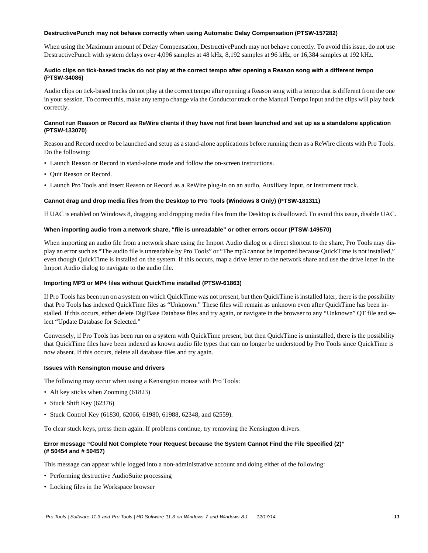#### **DestructivePunch may not behave correctly when using Automatic Delay Compensation (PTSW-157282)**

When using the Maximum amount of Delay Compensation, DestructivePunch may not behave correctly. To avoid this issue, do not use DestructivePunch with system delays over 4,096 samples at 48 kHz, 8,192 samples at 96 kHz, or 16,384 samples at 192 kHz.

#### **Audio clips on tick-based tracks do not play at the correct tempo after opening a Reason song with a different tempo (PTSW-34086)**

Audio clips on tick-based tracks do not play at the correct tempo after opening a Reason song with a tempo that is different from the one in your session. To correct this, make any tempo change via the Conductor track or the Manual Tempo input and the clips will play back correctly.

#### **Cannot run Reason or Record as ReWire clients if they have not first been launched and set up as a standalone application (PTSW-133070)**

Reason and Record need to be launched and setup as a stand-alone applications before running them as a ReWire clients with Pro Tools. Do the following:

- Launch Reason or Record in stand-alone mode and follow the on-screen instructions.
- Quit Reason or Record.
- Launch Pro Tools and insert Reason or Record as a ReWire plug-in on an audio, Auxiliary Input, or Instrument track.

#### **Cannot drag and drop media files from the Desktop to Pro Tools (Windows 8 Only) (PTSW-181311)**

If UAC is enabled on Windows 8, dragging and dropping media files from the Desktop is disallowed. To avoid this issue, disable UAC.

#### **When importing audio from a network share, "file is unreadable" or other errors occur (PTSW-149570)**

When importing an audio file from a network share using the Import Audio dialog or a direct shortcut to the share, Pro Tools may display an error such as "The audio file is unreadable by Pro Tools" or "The mp3 cannot be imported because QuickTime is not installed," even though QuickTime is installed on the system. If this occurs, map a drive letter to the network share and use the drive letter in the Import Audio dialog to navigate to the audio file.

#### **Importing MP3 or MP4 files without QuickTime installed (PTSW-61863)**

If Pro Tools has been run on a system on which QuickTime was not present, but then QuickTime is installed later, there is the possibility that Pro Tools has indexed QuickTime files as "Unknown." These files will remain as unknown even after QuickTime has been installed. If this occurs, either delete DigiBase Database files and try again, or navigate in the browser to any "Unknown" QT file and select "Update Database for Selected."

Conversely, if Pro Tools has been run on a system with QuickTime present, but then QuickTime is uninstalled, there is the possibility that QuickTime files have been indexed as known audio file types that can no longer be understood by Pro Tools since QuickTime is now absent. If this occurs, delete all database files and try again.

#### **Issues with Kensington mouse and drivers**

The following may occur when using a Kensington mouse with Pro Tools:

- Alt key sticks when Zooming (61823)
- Stuck Shift Key (62376)
- Stuck Control Key (61830, 62066, 61980, 61988, 62348, and 62559).

To clear stuck keys, press them again. If problems continue, try removing the Kensington drivers.

#### **Error message "Could Not Complete Your Request because the System Cannot Find the File Specified (2)" (# 50454 and # 50457)**

This message can appear while logged into a non-administrative account and doing either of the following:

- Performing destructive AudioSuite processing
- Locking files in the Workspace browser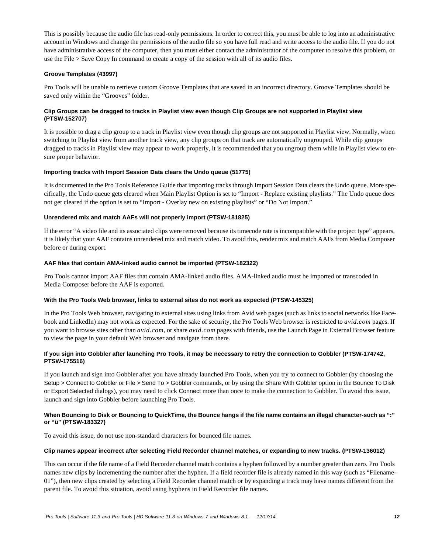This is possibly because the audio file has read-only permissions. In order to correct this, you must be able to log into an administrative account in Windows and change the permissions of the audio file so you have full read and write access to the audio file. If you do not have administrative access of the computer, then you must either contact the administrator of the computer to resolve this problem, or use the File > Save Copy In command to create a copy of the session with all of its audio files.

#### **Groove Templates (43997)**

Pro Tools will be unable to retrieve custom Groove Templates that are saved in an incorrect directory. Groove Templates should be saved only within the "Grooves" folder.

#### **Clip Groups can be dragged to tracks in Playlist view even though Clip Groups are not supported in Playlist view (PTSW-152707)**

It is possible to drag a clip group to a track in Playlist view even though clip groups are not supported in Playlist view. Normally, when switching to Playlist view from another track view, any clip groups on that track are automatically ungrouped. While clip groups dragged to tracks in Playlist view may appear to work properly, it is recommended that you ungroup them while in Playlist view to ensure proper behavior.

#### **Importing tracks with Import Session Data clears the Undo queue (51775)**

It is documented in the Pro Tools Reference Guide that importing tracks through Import Session Data clears the Undo queue. More specifically, the Undo queue gets cleared when Main Playlist Option is set to "Import - Replace existing playlists." The Undo queue does not get cleared if the option is set to "Import - Overlay new on existing playlists" or "Do Not Import."

#### **Unrendered mix and match AAFs will not properly import (PTSW-181825)**

If the error "A video file and its associated clips were removed because its timecode rate is incompatible with the project type" appears, it is likely that your AAF contains unrendered mix and match video. To avoid this, render mix and match AAFs from Media Composer before or during export.

#### **AAF files that contain AMA-linked audio cannot be imported (PTSW-182322)**

Pro Tools cannot import AAF files that contain AMA-linked audio files. AMA-linked audio must be imported or transcoded in Media Composer before the AAF is exported.

#### **With the Pro Tools Web browser, links to external sites do not work as expected (PTSW-145325)**

In the Pro Tools Web browser, navigating to external sites using links from Avid web pages (such as links to social networks like Facebook and LinkedIn) may not work as expected. For the sake of security, the Pro Tools Web browser is restricted to *avid.com* pages. If you want to browse sites other than *avid.com*, or share *avid.com* pages with friends, use the Launch Page in External Browser feature to view the page in your default Web browser and navigate from there.

#### **If you sign into Gobbler after launching Pro Tools, it may be necessary to retry the connection to Gobbler (PTSW-174742, PTSW-175516)**

If you launch and sign into Gobbler after you have already launched Pro Tools, when you try to connect to Gobbler (by choosing the Setup > Connect to Gobbler or File > Send To > Gobbler commands, or by using the Share With Gobbler option in the Bounce To Disk or Export Selected dialogs), you may need to click Connect more than once to make the connection to Gobbler. To avoid this issue, launch and sign into Gobbler before launching Pro Tools.

#### **When Bouncing to Disk or Bouncing to QuickTime, the Bounce hangs if the file name contains an illegal character-such as ":" or "ü" (PTSW-183327)**

To avoid this issue, do not use non-standard characters for bounced file names.

#### **Clip names appear incorrect after selecting Field Recorder channel matches, or expanding to new tracks. (PTSW-136012)**

This can occur if the file name of a Field Recorder channel match contains a hyphen followed by a number greater than zero. Pro Tools names new clips by incrementing the number after the hyphen. If a field recorder file is already named in this way (such as "Filename-01"), then new clips created by selecting a Field Recorder channel match or by expanding a track may have names different from the parent file. To avoid this situation, avoid using hyphens in Field Recorder file names.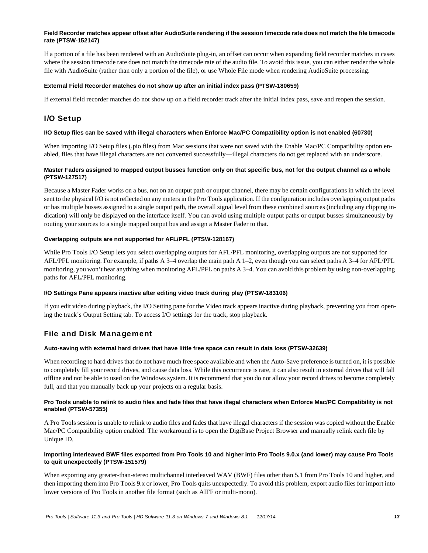#### **Field Recorder matches appear offset after AudioSuite rendering if the session timecode rate does not match the file timecode rate (PTSW-152147)**

If a portion of a file has been rendered with an AudioSuite plug-in, an offset can occur when expanding field recorder matches in cases where the session timecode rate does not match the timecode rate of the audio file. To avoid this issue, you can either render the whole file with AudioSuite (rather than only a portion of the file), or use Whole File mode when rendering AudioSuite processing.

#### **External Field Recorder matches do not show up after an initial index pass (PTSW-180659)**

If external field recorder matches do not show up on a field recorder track after the initial index pass, save and reopen the session.

### I/O Setup

#### **I/O Setup files can be saved with illegal characters when Enforce Mac/PC Compatibility option is not enabled (60730)**

When importing I/O Setup files (.pio files) from Mac sessions that were not saved with the Enable Mac/PC Compatibility option enabled, files that have illegal characters are not converted successfully—illegal characters do not get replaced with an underscore.

#### **Master Faders assigned to mapped output busses function only on that specific bus, not for the output channel as a whole (PTSW-127517)**

Because a Master Fader works on a bus, not on an output path or output channel, there may be certain configurations in which the level sent to the physical I/O is not reflected on any meters in the Pro Tools application. If the configuration includes overlapping output paths or has multiple busses assigned to a single output path, the overall signal level from these combined sources (including any clipping indication) will only be displayed on the interface itself. You can avoid using multiple output paths or output busses simultaneously by routing your sources to a single mapped output bus and assign a Master Fader to that.

#### **Overlapping outputs are not supported for AFL/PFL (PTSW-128167)**

While Pro Tools I/O Setup lets you select overlapping outputs for AFL/PFL monitoring, overlapping outputs are not supported for AFL/PFL monitoring. For example, if paths A 3–4 overlap the main path A 1–2, even though you can select paths A 3–4 for AFL/PFL monitoring, you won't hear anything when monitoring AFL/PFL on paths A 3–4. You can avoid this problem by using non-overlapping paths for AFL/PFL monitoring.

#### **I/O Settings Pane appears inactive after editing video track during play (PTSW-183106)**

If you edit video during playback, the I/O Setting pane for the Video track appears inactive during playback, preventing you from opening the track's Output Setting tab. To access I/O settings for the track, stop playback.

### File and Disk Management

#### **Auto-saving with external hard drives that have little free space can result in data loss (PTSW-32639)**

When recording to hard drives that do not have much free space available and when the Auto-Save preference is turned on, it is possible to completely fill your record drives, and cause data loss. While this occurrence is rare, it can also result in external drives that will fall offline and not be able to used on the Windows system. It is recommend that you do not allow your record drives to become completely full, and that you manually back up your projects on a regular basis.

#### **Pro Tools unable to relink to audio files and fade files that have illegal characters when Enforce Mac/PC Compatibility is not enabled (PTSW-57355)**

A Pro Tools session is unable to relink to audio files and fades that have illegal characters if the session was copied without the Enable Mac/PC Compatibility option enabled. The workaround is to open the DigiBase Project Browser and manually relink each file by Unique ID.

#### **Importing interleaved BWF files exported from Pro Tools 10 and higher into Pro Tools 9.0.x (and lower) may cause Pro Tools to quit unexpectedly (PTSW-151579)**

When exporting any greater-than-stereo multichannel interleaved WAV (BWF) files other than 5.1 from Pro Tools 10 and higher, and then importing them into Pro Tools 9.x or lower, Pro Tools quits unexpectedly. To avoid this problem, export audio files for import into lower versions of Pro Tools in another file format (such as AIFF or multi-mono).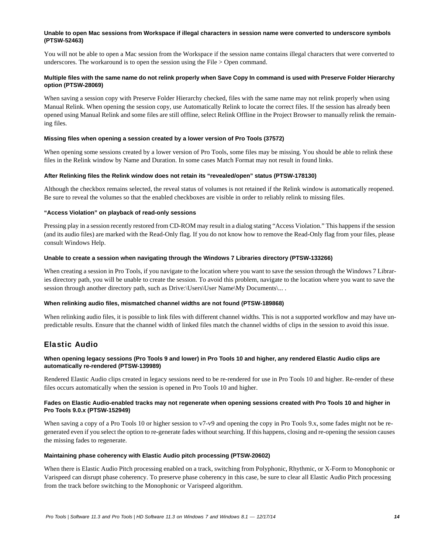#### **Unable to open Mac sessions from Workspace if illegal characters in session name were converted to underscore symbols (PTSW-52463)**

You will not be able to open a Mac session from the Workspace if the session name contains illegal characters that were converted to underscores. The workaround is to open the session using the File > Open command.

#### **Multiple files with the same name do not relink properly when Save Copy In command is used with Preserve Folder Hierarchy option (PTSW-28069)**

When saving a session copy with Preserve Folder Hierarchy checked, files with the same name may not relink properly when using Manual Relink. When opening the session copy, use Automatically Relink to locate the correct files. If the session has already been opened using Manual Relink and some files are still offline, select Relink Offline in the Project Browser to manually relink the remaining files.

#### **Missing files when opening a session created by a lower version of Pro Tools (37572)**

When opening some sessions created by a lower version of Pro Tools, some files may be missing. You should be able to relink these files in the Relink window by Name and Duration. In some cases Match Format may not result in found links.

#### **After Relinking files the Relink window does not retain its "revealed/open" status (PTSW-178130)**

Although the checkbox remains selected, the reveal status of volumes is not retained if the Relink window is automatically reopened. Be sure to reveal the volumes so that the enabled checkboxes are visible in order to reliably relink to missing files.

#### **"Access Violation" on playback of read-only sessions**

Pressing play in a session recently restored from CD-ROM may result in a dialog stating "Access Violation." This happens if the session (and its audio files) are marked with the Read-Only flag. If you do not know how to remove the Read-Only flag from your files, please consult Windows Help.

#### **Unable to create a session when navigating through the Windows 7 Libraries directory (PTSW-133266)**

When creating a session in Pro Tools, if you navigate to the location where you want to save the session through the Windows 7 Libraries directory path, you will be unable to create the session. To avoid this problem, navigate to the location where you want to save the session through another directory path, such as Drive:\Users\User Name\My Documents\... .

#### **When relinking audio files, mismatched channel widths are not found (PTSW-189868)**

When relinking audio files, it is possible to link files with different channel widths. This is not a supported workflow and may have unpredictable results. Ensure that the channel width of linked files match the channel widths of clips in the session to avoid this issue.

### Elastic Audio

#### **When opening legacy sessions (Pro Tools 9 and lower) in Pro Tools 10 and higher, any rendered Elastic Audio clips are automatically re-rendered (PTSW-139989)**

Rendered Elastic Audio clips created in legacy sessions need to be re-rendered for use in Pro Tools 10 and higher. Re-render of these files occurs automatically when the session is opened in Pro Tools 10 and higher.

#### **Fades on Elastic Audio-enabled tracks may not regenerate when opening sessions created with Pro Tools 10 and higher in Pro Tools 9.0.x (PTSW-152949)**

When saving a copy of a Pro Tools 10 or higher session to v7-v9 and opening the copy in Pro Tools 9.x, some fades might not be regenerated even if you select the option to re-generate fades without searching. If this happens, closing and re-opening the session causes the missing fades to regenerate.

#### **Maintaining phase coherency with Elastic Audio pitch processing (PTSW-20602)**

When there is Elastic Audio Pitch processing enabled on a track, switching from Polyphonic, Rhythmic, or X-Form to Monophonic or Varispeed can disrupt phase coherency. To preserve phase coherency in this case, be sure to clear all Elastic Audio Pitch processing from the track before switching to the Monophonic or Varispeed algorithm.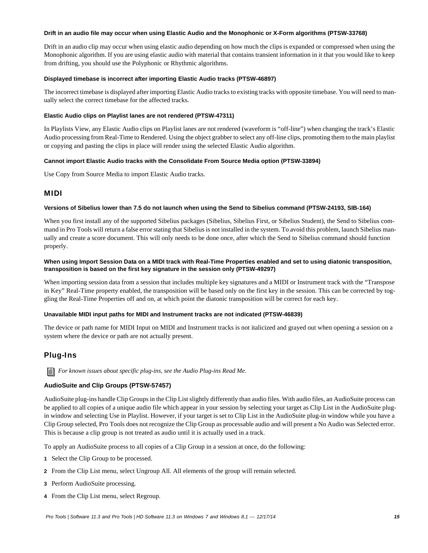#### **Drift in an audio file may occur when using Elastic Audio and the Monophonic or X-Form algorithms (PTSW-33768)**

Drift in an audio clip may occur when using elastic audio depending on how much the clips is expanded or compressed when using the Monophonic algorithm. If you are using elastic audio with material that contains transient information in it that you would like to keep from drifting, you should use the Polyphonic or Rhythmic algorithms.

#### **Displayed timebase is incorrect after importing Elastic Audio tracks (PTSW-46897)**

The incorrect timebase is displayed after importing Elastic Audio tracks to existing tracks with opposite timebase. You will need to manually select the correct timebase for the affected tracks.

#### **Elastic Audio clips on Playlist lanes are not rendered (PTSW-47311)**

In Playlists View, any Elastic Audio clips on Playlist lanes are not rendered (waveform is "off-line") when changing the track's Elastic Audio processing from Real-Time to Rendered. Using the object grabber to select any off-line clips, promoting them to the main playlist or copying and pasting the clips in place will render using the selected Elastic Audio algorithm.

#### **Cannot import Elastic Audio tracks with the Consolidate From Source Media option (PTSW-33894)**

Use Copy from Source Media to import Elastic Audio tracks.

### MIDI

#### **Versions of Sibelius lower than 7.5 do not launch when using the Send to Sibelius command (PTSW-24193, SIB-164)**

When you first install any of the supported Sibelius packages (Sibelius, Sibelius First, or Sibelius Student), the Send to Sibelius command in Pro Tools will return a false error stating that Sibelius is not installed in the system. To avoid this problem, launch Sibelius manually and create a score document. This will only needs to be done once, after which the Send to Sibelius command should function properly.

#### **When using Import Session Data on a MIDI track with Real-Time Properties enabled and set to using diatonic transposition, transposition is based on the first key signature in the session only (PTSW-49297)**

When importing session data from a session that includes multiple key signatures and a MIDI or Instrument track with the "Transpose in Key" Real-Time property enabled, the transposition will be based only on the first key in the session. This can be corrected by toggling the Real-Time Properties off and on, at which point the diatonic transposition will be correct for each key.

#### **Unavailable MIDI input paths for MIDI and Instrument tracks are not indicated (PTSW-46839)**

The device or path name for MIDI Input on MIDI and Instrument tracks is not italicized and grayed out when opening a session on a system where the device or path are not actually present.

### Plug-Ins

*For known issues about specific plug-ins, see the Audio Plug-ins Read Me.*

#### **AudioSuite and Clip Groups (PTSW-57457)**

AudioSuite plug-ins handle Clip Groups in the Clip List slightly differently than audio files. With audio files, an AudioSuite process can be applied to all copies of a unique audio file which appear in your session by selecting your target as Clip List in the AudioSuite plugin window and selecting Use in Playlist. However, if your target is set to Clip List in the AudioSuite plug-in window while you have a Clip Group selected, Pro Tools does not recognize the Clip Group as processable audio and will present a No Audio was Selected error. This is because a clip group is not treated as audio until it is actually used in a track.

To apply an AudioSuite process to all copies of a Clip Group in a session at once, do the following:

- **1** Select the Clip Group to be processed.
- **2** From the Clip List menu, select Ungroup All. All elements of the group will remain selected.
- **3** Perform AudioSuite processing.
- **4** From the Clip List menu, select Regroup.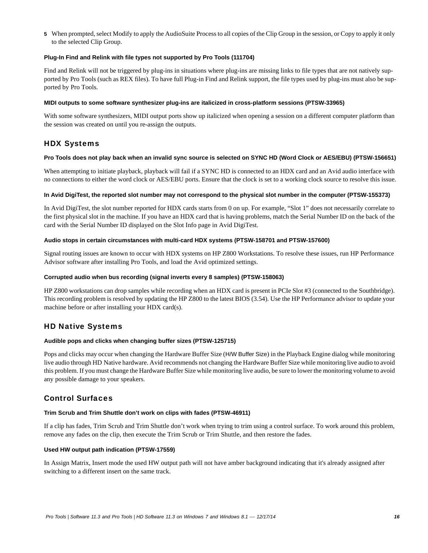**5** When prompted, select Modify to apply the AudioSuite Process to all copies of the Clip Group in the session, or Copy to apply it only to the selected Clip Group.

#### **Plug-In Find and Relink with file types not supported by Pro Tools (111704)**

Find and Relink will not be triggered by plug-ins in situations where plug-ins are missing links to file types that are not natively supported by Pro Tools (such as REX files). To have full Plug-in Find and Relink support, the file types used by plug-ins must also be supported by Pro Tools.

#### **MIDI outputs to some software synthesizer plug-ins are italicized in cross-platform sessions (PTSW-33965)**

With some software synthesizers, MIDI output ports show up italicized when opening a session on a different computer platform than the session was created on until you re-assign the outputs.

### HDX Systems

#### **Pro Tools does not play back when an invalid sync source is selected on SYNC HD (Word Clock or AES/EBU) (PTSW-156651)**

When attempting to initiate playback, playback will fail if a SYNC HD is connected to an HDX card and an Avid audio interface with no connections to either the word clock or AES/EBU ports. Ensure that the clock is set to a working clock source to resolve this issue.

#### **In Avid DigiTest, the reported slot number may not correspond to the physical slot number in the computer (PTSW-155373)**

In Avid DigiTest, the slot number reported for HDX cards starts from 0 on up. For example, "Slot 1" does not necessarily correlate to the first physical slot in the machine. If you have an HDX card that is having problems, match the Serial Number ID on the back of the card with the Serial Number ID displayed on the Slot Info page in Avid DigiTest.

#### **Audio stops in certain circumstances with multi-card HDX systems (PTSW-158701 and PTSW-157600)**

Signal routing issues are known to occur with HDX systems on HP Z800 Workstations. To resolve these issues, run HP Performance Advisor software after installing Pro Tools, and load the Avid optimized settings.

#### **Corrupted audio when bus recording (signal inverts every 8 samples) (PTSW-158063)**

HP Z800 workstations can drop samples while recording when an HDX card is present in PCIe Slot #3 (connected to the Southbridge). This recording problem is resolved by updating the HP Z800 to the latest BIOS (3.54). Use the HP Performance advisor to update your machine before or after installing your HDX card(s).

### HD Native Systems

#### **Audible pops and clicks when changing buffer sizes (PTSW-125715)**

Pops and clicks may occur when changing the Hardware Buffer Size (H/W Buffer Size) in the Playback Engine dialog while monitoring live audio through HD Native hardware. Avid recommends not changing the Hardware Buffer Size while monitoring live audio to avoid this problem. If you must change the Hardware Buffer Size while monitoring live audio, be sure to lower the monitoring volume to avoid any possible damage to your speakers.

### Control Surfaces

#### **Trim Scrub and Trim Shuttle don't work on clips with fades (PTSW-46911)**

If a clip has fades, Trim Scrub and Trim Shuttle don't work when trying to trim using a control surface. To work around this problem, remove any fades on the clip, then execute the Trim Scrub or Trim Shuttle, and then restore the fades.

#### **Used HW output path indication (PTSW-17559)**

In Assign Matrix, Insert mode the used HW output path will not have amber background indicating that it's already assigned after switching to a different insert on the same track.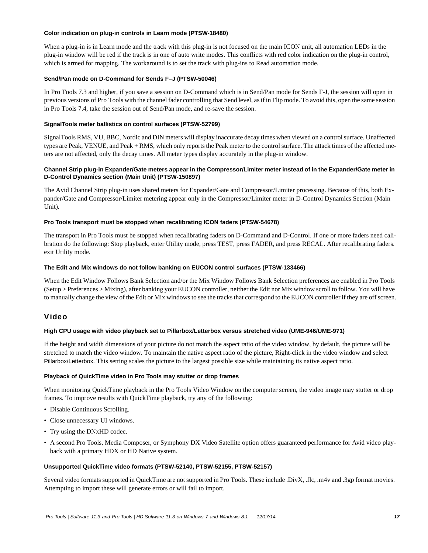#### **Color indication on plug-in controls in Learn mode (PTSW-18480)**

When a plug-in is in Learn mode and the track with this plug-in is not focused on the main ICON unit, all automation LEDs in the plug-in window will be red if the track is in one of auto write modes. This conflicts with red color indication on the plug-in control, which is armed for mapping. The workaround is to set the track with plug-ins to Read automation mode.

#### **Send/Pan mode on D-Command for Sends F–J (PTSW-50046)**

In Pro Tools 7.3 and higher, if you save a session on D-Command which is in Send/Pan mode for Sends F-J, the session will open in previous versions of Pro Tools with the channel fader controlling that Send level, as if in Flip mode. To avoid this, open the same session in Pro Tools 7.4, take the session out of Send/Pan mode, and re-save the session.

#### **SignalTools meter ballistics on control surfaces (PTSW-52799)**

SignalTools RMS, VU, BBC, Nordic and DIN meters will display inaccurate decay times when viewed on a control surface. Unaffected types are Peak, VENUE, and Peak + RMS, which only reports the Peak meter to the control surface. The attack times of the affected meters are not affected, only the decay times. All meter types display accurately in the plug-in window.

#### **Channel Strip plug-in Expander/Gate meters appear in the Compressor/Limiter meter instead of in the Expander/Gate meter in D-Control Dynamics section (Main Unit) (PTSW-150897)**

The Avid Channel Strip plug-in uses shared meters for Expander/Gate and Compressor/Limiter processing. Because of this, both Expander/Gate and Compressor/Limiter metering appear only in the Compressor/Limiter meter in D-Control Dynamics Section (Main Unit).

#### **Pro Tools transport must be stopped when recalibrating ICON faders (PTSW-54678)**

The transport in Pro Tools must be stopped when recalibrating faders on D-Command and D-Control. If one or more faders need calibration do the following: Stop playback, enter Utility mode, press TEST, press FADER, and press RECAL. After recalibrating faders. exit Utility mode.

#### **The Edit and Mix windows do not follow banking on EUCON control surfaces (PTSW-133466)**

When the Edit Window Follows Bank Selection and/or the Mix Window Follows Bank Selection preferences are enabled in Pro Tools (Setup > Preferences > Mixing), after banking your EUCON controller, neither the Edit nor Mix window scroll to follow. You will have to manually change the view of the Edit or Mix windows to see the tracks that correspond to the EUCON controller if they are off screen.

### Video

#### **High CPU usage with video playback set to Pillarbox/Letterbox versus stretched video (UME-946/UME-971)**

If the height and width dimensions of your picture do not match the aspect ratio of the video window, by default, the picture will be stretched to match the video window. To maintain the native aspect ratio of the picture, Right-click in the video window and select Pillarbox/Letterbox. This setting scales the picture to the largest possible size while maintaining its native aspect ratio.

#### **Playback of QuickTime video in Pro Tools may stutter or drop frames**

When monitoring QuickTime playback in the Pro Tools Video Window on the computer screen, the video image may stutter or drop frames. To improve results with QuickTime playback, try any of the following:

- Disable Continuous Scrolling.
- Close unnecessary UI windows.
- Try using the DNxHD codec.
- A second Pro Tools, Media Composer, or Symphony DX Video Satellite option offers guaranteed performance for Avid video playback with a primary HDX or HD Native system.

#### **Unsupported QuickTime video formats (PTSW-52140, PTSW-52155, PTSW-52157)**

Several video formats supported in QuickTime are not supported in Pro Tools. These include .DivX, .flc, .m4v and .3gp format movies. Attempting to import these will generate errors or will fail to import.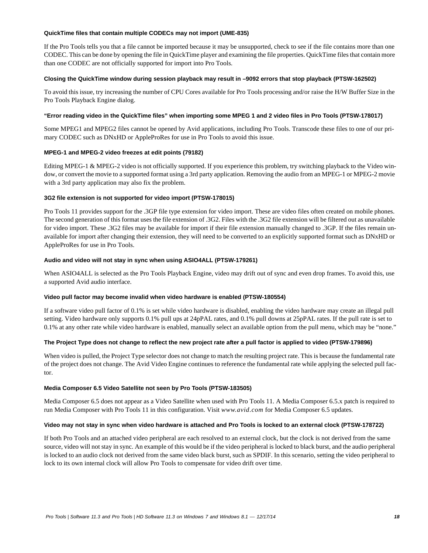#### **QuickTime files that contain multiple CODECs may not import (UME-835)**

If the Pro Tools tells you that a file cannot be imported because it may be unsupported, check to see if the file contains more than one CODEC. This can be done by opening the file in QuickTime player and examining the file properties. QuickTime files that contain more than one CODEC are not officially supported for import into Pro Tools.

#### **Closing the QuickTime window during session playback may result in –9092 errors that stop playback (PTSW-162502)**

To avoid this issue, try increasing the number of CPU Cores available for Pro Tools processing and/or raise the H/W Buffer Size in the Pro Tools Playback Engine dialog.

#### **"Error reading video in the QuickTime files" when importing some MPEG 1 and 2 video files in Pro Tools (PTSW-178017)**

Some MPEG1 and MPEG2 files cannot be opened by Avid applications, including Pro Tools. Transcode these files to one of our primary CODEC such as DNxHD or AppleProRes for use in Pro Tools to avoid this issue.

#### **MPEG-1 and MPEG-2 video freezes at edit points (79182)**

Editing MPEG-1 & MPEG-2 video is not officially supported. If you experience this problem, try switching playback to the Video window, or convert the movie to a supported format using a 3rd party application. Removing the audio from an MPEG-1 or MPEG-2 movie with a 3rd party application may also fix the problem.

#### **3G2 file extension is not supported for video import (PTSW-178015)**

Pro Tools 11 provides support for the .3GP file type extension for video import. These are video files often created on mobile phones. The second generation of this format uses the file extension of .3G2. Files with the .3G2 file extension will be filtered out as unavailable for video import. These .3G2 files may be available for import if their file extension manually changed to .3GP. If the files remain unavailable for import after changing their extension, they will need to be converted to an explicitly supported format such as DNxHD or AppleProRes for use in Pro Tools.

#### **Audio and video will not stay in sync when using ASIO4ALL (PTSW-179261)**

When ASIO4ALL is selected as the Pro Tools Playback Engine, video may drift out of sync and even drop frames. To avoid this, use a supported Avid audio interface.

#### **Video pull factor may become invalid when video hardware is enabled (PTSW-180554)**

If a software video pull factor of 0.1% is set while video hardware is disabled, enabling the video hardware may create an illegal pull setting. Video hardware only supports 0.1% pull ups at 24pPAL rates, and 0.1% pull downs at 25pPAL rates. If the pull rate is set to 0.1% at any other rate while video hardware is enabled, manually select an available option from the pull menu, which may be "none."

#### **The Project Type does not change to reflect the new project rate after a pull factor is applied to video (PTSW-179896)**

When video is pulled, the Project Type selector does not change to match the resulting project rate. This is because the fundamental rate of the project does not change. The Avid Video Engine continues to reference the fundamental rate while applying the selected pull factor.

#### **Media Composer 6.5 Video Satellite not seen by Pro Tools (PTSW-183505)**

Media Composer 6.5 does not appear as a Video Satellite when used with Pro Tools 11. A Media Composer 6.5.x patch is required to run Media Composer with Pro Tools 11 in this configuration. Visit *www.avid.com* for Media Composer 6.5 updates.

#### **Video may not stay in sync when video hardware is attached and Pro Tools is locked to an external clock (PTSW-178722)**

If both Pro Tools and an attached video peripheral are each resolved to an external clock, but the clock is not derived from the same source, video will not stay in sync. An example of this would be if the video peripheral is locked to black burst, and the audio peripheral is locked to an audio clock not derived from the same video black burst, such as SPDIF. In this scenario, setting the video peripheral to lock to its own internal clock will allow Pro Tools to compensate for video drift over time.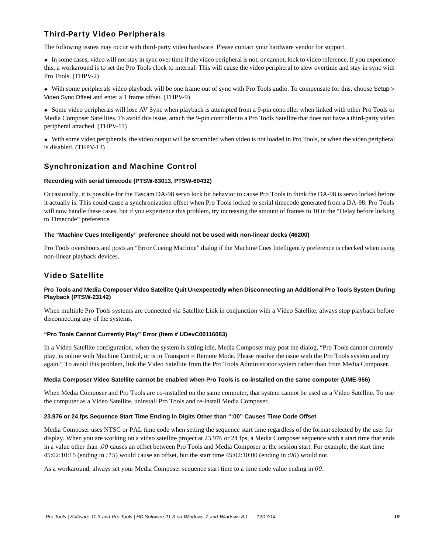# Third-Party Video Peripherals

The following issues may occur with third-party video hardware. Please contact your hardware vendor for support.

 In some cases, video will not stay in sync over time if the video peripheral is not, or cannot, lock to video reference. If you experience this, a workaround is to set the Pro Tools clock to internal. This will cause the video peripheral to slew overtime and stay in sync with Pro Tools. (THPV-2)

 With some peripherals video playback will be one frame out of sync with Pro Tools audio. To compensate for this, choose Setup > Video Sync Offset and enter a 1 frame offset. (THPV-9)

 Some video peripherals will lose AV Sync when playback is attempted from a 9-pin controller when linked with other Pro Tools or Media Composer Satellites. To avoid this issue, attach the 9-pin controller to a Pro Tools Satellite that does not have a third-party video peripheral attached. (THPV-11)

 With some video peripherals, the video output will be scrambled when video is not loaded in Pro Tools, or when the video peripheral is disabled. (THPV-13)

### Synchronization and Machine Control

#### **Recording with serial timecode (PTSW-63013, PTSW-60432)**

Occasionally, it is possible for the Tascam DA-98 servo lock bit behavior to cause Pro Tools to think the DA-98 is servo locked before it actually is. This could cause a synchronization offset when Pro Tools locked to serial timecode generated from a DA-98. Pro Tools will now handle these cases, but if you experience this problem, try increasing the amount of frames to 10 in the "Delay before locking to Timecode" preference.

#### **The "Machine Cues Intelligently" preference should not be used with non-linear decks (46200)**

Pro Tools overshoots and posts an "Error Cueing Machine" dialog if the Machine Cues Intelligently preference is checked when using non-linear playback devices.

### Video Satellite

#### **Pro Tools and Media Composer Video Satellite Quit Unexpectedly when Disconnecting an Additional Pro Tools System During Playback (PTSW-23142)**

When multiple Pro Tools systems are connected via Satellite Link in conjunction with a Video Satellite, always stop playback before disconnecting any of the systems.

#### **"Pro Tools Cannot Currently Play" Error (Item # UDevC00116083)**

In a Video Satellite configuration, when the system is sitting idle, Media Composer may post the dialog, "Pro Tools cannot currently play, is online with Machine Control, or is in Transport = Remote Mode. Please resolve the issue with the Pro Tools system and try again." To avoid this problem, link the Video Satellite from the Pro Tools Administrator system rather than from Media Composer.

#### **Media Composer Video Satellite cannot be enabled when Pro Tools is co-installed on the same computer (UME-956)**

When Media Composer and Pro Tools are co-installed on the same computer, that system cannot be used as a Video Satellite. To use the computer as a Video Satellite, uninstall Pro Tools and re-install Media Composer.

#### **23.976 or 24 fps Sequence Start Time Ending In Digits Other than ":00" Causes Time Code Offset**

Media Composer uses NTSC or PAL time code when setting the sequence start time regardless of the format selected by the user for display. When you are working on a video satellite project at 23.976 or 24 fps, a Media Composer sequence with a start time that ends in a value other than :*00* causes an offset between Pro Tools and Media Composer at the session start. For example, the start time 45:02:10:15 (ending in *:15*) would cause an offset, but the start time 45:02:10:00 (ending in :*00*) would not.

As a workaround, always set your Media Composer sequence start time to a time code value ending in *00*.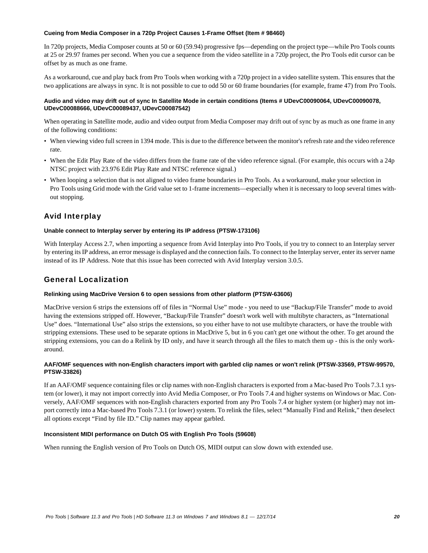#### **Cueing from Media Composer in a 720p Project Causes 1-Frame Offset (Item # 98460)**

In 720p projects, Media Composer counts at 50 or 60 (59.94) progressive fps—depending on the project type—while Pro Tools counts at 25 or 29.97 frames per second. When you cue a sequence from the video satellite in a 720p project, the Pro Tools edit cursor can be offset by as much as one frame.

As a workaround, cue and play back from Pro Tools when working with a 720p project in a video satellite system. This ensures that the two applications are always in sync. It is not possible to cue to odd 50 or 60 frame boundaries (for example, frame 47) from Pro Tools.

#### **Audio and video may drift out of sync In Satellite Mode in certain conditions (Items # UDevC00090064, UDevC00090078, UDevC00088666, UDevC00089437, UDevC00087542)**

When operating in Satellite mode, audio and video output from Media Composer may drift out of sync by as much as one frame in any of the following conditions:

- When viewing video full screen in 1394 mode. This is due to the difference between the monitor's refresh rate and the video reference rate.
- When the Edit Play Rate of the video differs from the frame rate of the video reference signal. (For example, this occurs with a 24p NTSC project with 23.976 Edit Play Rate and NTSC reference signal.)
- When looping a selection that is not aligned to video frame boundaries in Pro Tools. As a workaround, make your selection in Pro Tools using Grid mode with the Grid value set to 1-frame increments—especially when it is necessary to loop several times without stopping.

### Avid Interplay

#### **Unable connect to Interplay server by entering its IP address (PTSW-173106)**

With Interplay Access 2.7, when importing a sequence from Avid Interplay into Pro Tools, if you try to connect to an Interplay server by entering its IP address, an error message is displayed and the connection fails. To connect to the Interplay server, enter its server name instead of its IP Address. Note that this issue has been corrected with Avid Interplay version 3.0.5.

### General Localization

#### **Relinking using MacDrive Version 6 to open sessions from other platform (PTSW-63606)**

MacDrive version 6 strips the extensions off of files in "Normal Use" mode - you need to use "Backup/File Transfer" mode to avoid having the extensions stripped off. However, "Backup/File Transfer" doesn't work well with multibyte characters, as "International Use" does. "International Use" also strips the extensions, so you either have to not use multibyte characters, or have the trouble with stripping extensions. These used to be separate options in MacDrive 5, but in 6 you can't get one without the other. To get around the stripping extensions, you can do a Relink by ID only, and have it search through all the files to match them up - this is the only workaround.

#### **AAF/OMF sequences with non-English characters import with garbled clip names or won't relink (PTSW-33569, PTSW-99570, PTSW-33826)**

If an AAF/OMF sequence containing files or clip names with non-English characters is exported from a Mac-based Pro Tools 7.3.1 system (or lower), it may not import correctly into Avid Media Composer, or Pro Tools 7.4 and higher systems on Windows or Mac. Conversely, AAF/OMF sequences with non-English characters exported from any Pro Tools 7.4 or higher system (or higher) may not import correctly into a Mac-based Pro Tools 7.3.1 (or lower) system. To relink the files, select "Manually Find and Relink," then deselect all options except "Find by file ID." Clip names may appear garbled.

#### **Inconsistent MIDI performance on Dutch OS with English Pro Tools (59608)**

When running the English version of Pro Tools on Dutch OS, MIDI output can slow down with extended use.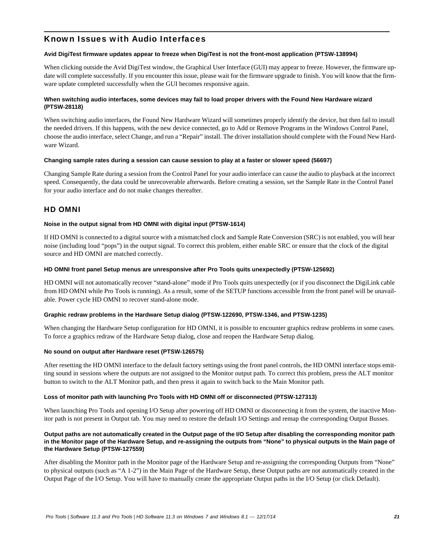### Known Issues with Audio Interfaces

#### **Avid DigiTest firmware updates appear to freeze when DigiTest is not the front-most application (PTSW-138994)**

When clicking outside the Avid DigiTest window, the Graphical User Interface (GUI) may appear to freeze. However, the firmware update will complete successfully. If you encounter this issue, please wait for the firmware upgrade to finish. You will know that the firmware update completed successfully when the GUI becomes responsive again.

#### **When switching audio interfaces, some devices may fail to load proper drivers with the Found New Hardware wizard (PTSW-28118)**

When switching audio interfaces, the Found New Hardware Wizard will sometimes properly identify the device, but then fail to install the needed drivers. If this happens, with the new device connected, go to Add or Remove Programs in the Windows Control Panel, choose the audio interface, select Change, and run a "Repair" install. The driver installation should complete with the Found New Hardware Wizard.

#### **Changing sample rates during a session can cause session to play at a faster or slower speed (56697)**

Changing Sample Rate during a session from the Control Panel for your audio interface can cause the audio to playback at the incorrect speed. Consequently, the data could be unrecoverable afterwards. Before creating a session, set the Sample Rate in the Control Panel for your audio interface and do not make changes thereafter.

### HD OMNI

#### **Noise in the output signal from HD OMNI with digital input (PTSW-1614)**

If HD OMNI is connected to a digital source with a mismatched clock and Sample Rate Conversion (SRC) is not enabled, you will hear noise (including loud "pops") in the output signal. To correct this problem, either enable SRC or ensure that the clock of the digital source and HD OMNI are matched correctly.

#### **HD OMNI front panel Setup menus are unresponsive after Pro Tools quits unexpectedly (PTSW-125692)**

HD OMNI will not automatically recover "stand-alone" mode if Pro Tools quits unexpectedly (or if you disconnect the DigiLink cable from HD OMNI while Pro Tools is running). As a result, some of the SETUP functions accessible from the front panel will be unavailable. Power cycle HD OMNI to recover stand-alone mode.

#### **Graphic redraw problems in the Hardware Setup dialog (PTSW-122690, PTSW-1346, and PTSW-1235)**

When changing the Hardware Setup configuration for HD OMNI, it is possible to encounter graphics redraw problems in some cases. To force a graphics redraw of the Hardware Setup dialog, close and reopen the Hardware Setup dialog.

#### **No sound on output after Hardware reset (PTSW-126575)**

After resetting the HD OMNI interface to the default factory settings using the front panel controls, the HD OMNI interface stops emitting sound in sessions where the outputs are not assigned to the Monitor output path. To correct this problem, press the ALT monitor button to switch to the ALT Monitor path, and then press it again to switch back to the Main Monitor path.

#### **Loss of monitor path with launching Pro Tools with HD OMNI off or disconnected (PTSW-127313)**

When launching Pro Tools and opening I/O Setup after powering off HD OMNI or disconnecting it from the system, the inactive Monitor path is not present in Output tab. You may need to restore the default I/O Settings and remap the corresponding Output Busses.

#### **Output paths are not automatically created in the Output page of the I/O Setup after disabling the corresponding monitor path in the Monitor page of the Hardware Setup, and re-assigning the outputs from "None" to physical outputs in the Main page of the Hardware Setup (PTSW-127559)**

After disabling the Monitor path in the Monitor page of the Hardware Setup and re-assigning the corresponding Outputs from "None" to physical outputs (such as "A 1-2") in the Main Page of the Hardware Setup, these Output paths are not automatically created in the Output Page of the I/O Setup. You will have to manually create the appropriate Output paths in the I/O Setup (or click Default).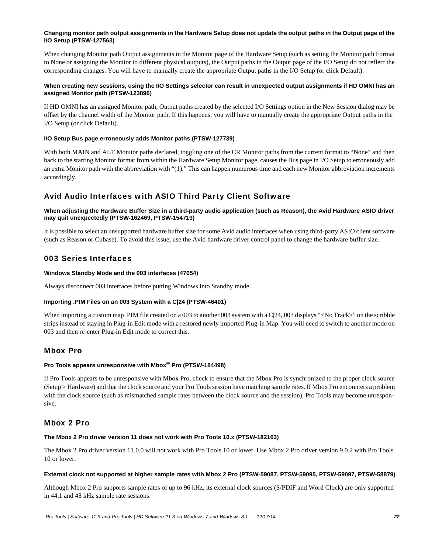#### **Changing monitor path output assignments in the Hardware Setup does not update the output paths in the Output page of the I/O Setup (PTSW-127563)**

When changing Monitor path Output assignments in the Monitor page of the Hardware Setup (such as setting the Monitor path Format to None or assigning the Monitor to different physical outputs), the Output paths in the Output page of the I/O Setup do not reflect the corresponding changes. You will have to manually create the appropriate Output paths in the I/O Setup (or click Default).

#### **When creating new sessions, using the I/O Settings selector can result in unexpected output assignments if HD OMNI has an assigned Monitor path (PTSW-123896)**

If HD OMNI has an assigned Monitor path, Output paths created by the selected I/O Settings option in the New Session dialog may be offset by the channel width of the Monitor path. If this happens, you will have to manually create the appropriate Output paths in the I/O Setup (or click Default).

#### **I/O Setup Bus page erroneously adds Monitor paths (PTSW-127739)**

With both MAIN and ALT Monitor paths declared, toggling one of the CR Monitor paths from the current format to "None" and then back to the starting Monitor format from within the Hardware Setup Monitor page, causes the Bus page in I/O Setup to erroneously add an extra Monitor path with the abbreviation with "(1)." This can happen numerous time and each new Monitor abbreviation increments accordingly.

### Avid Audio Interfaces with ASIO Third Party Client Software

#### **When adjusting the Hardware Buffer Size in a third-party audio application (such as Reason), the Avid Hardware ASIO driver may quit unexpectedly (PTSW-162469, PTSW-154719)**

It is possible to select an unsupported hardware buffer size for some Avid audio interfaces when using third-party ASIO client software (such as Reason or Cubase). To avoid this issue, use the Avid hardware driver control panel to change the hardware buffer size.

### 003 Series Interfaces

#### **Windows Standby Mode and the 003 interfaces (47054)**

Always disconnect 003 interfaces before putting Windows into Standby mode.

#### **Importing .PIM Files on an 003 System with a C|24 (PTSW-46401)**

When importing a custom map .PIM file created on a 003 to another 003 system with a C|24, 003 displays "<No Track>" on the scribble strips instead of staying in Plug-in Edit mode with a restored newly imported Plug-in Map. You will need to switch to another mode on 003 and then re-enter Plug-in Edit mode to correct this.

### Mbox Pro

### **Pro Tools appears unresponsive with Mbox® Pro (PTSW-184498)**

If Pro Tools appears to be unresponsive with Mbox Pro, check to ensure that the Mbox Pro is synchronized to the proper clock source (Setup > Hardware) and that the clock source and your Pro Tools session have matching sample rates. If Mbox Pro encounters a problem with the clock source (such as mismatched sample rates between the clock source and the session), Pro Tools may become unresponsive.

### Mbox 2 Pro

#### **The Mbox 2 Pro driver version 11 does not work with Pro Tools 10.x (PTSW-182163)**

The Mbox 2 Pro driver version 11.0.0 will not work with Pro Tools 10 or lower. Use Mbox 2 Pro driver version 9.0.2 with Pro Tools 10 or lower.

#### **External clock not supported at higher sample rates with Mbox 2 Pro (PTSW-59087, PTSW-59095, PTSW-59097, PTSW-58879)**

Although Mbox 2 Pro supports sample rates of up to 96 kHz, its external clock sources (S/PDIF and Word Clock) are only supported in 44.1 and 48 kHz sample rate sessions.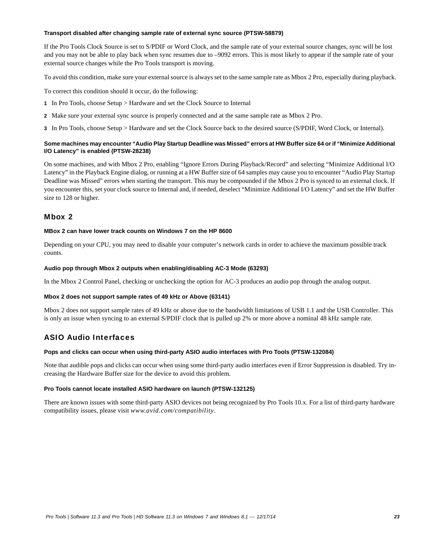#### **Transport disabled after changing sample rate of external sync source (PTSW-58879)**

If the Pro Tools Clock Source is set to S/PDIF or Word Clock, and the sample rate of your external source changes, sync will be lost and you may not be able to play back when sync resumes due to –9092 errors. This is most likely to appear if the sample rate of your external source changes while the Pro Tools transport is moving.

To avoid this condition, make sure your external source is always set to the same sample rate as Mbox 2 Pro, especially during playback.

To correct this condition should it occur, do the following:

- **1** In Pro Tools, choose Setup > Hardware and set the Clock Source to Internal
- **2** Make sure your external sync source is properly connected and at the same sample rate as Mbox 2 Pro.
- **3** In Pro Tools, choose Setup > Hardware and set the Clock Source back to the desired source (S/PDIF, Word Clock, or Internal).

#### **Some machines may encounter "Audio Play Startup Deadline was Missed" errors at HW Buffer size 64 or if "Minimize Additional I/O Latency" is enabled (PTSW-28238)**

On some machines, and with Mbox 2 Pro, enabling "Ignore Errors During Playback/Record" and selecting "Minimize Additional I/O Latency" in the Playback Engine dialog, or running at a HW Buffer size of 64 samples may cause you to encounter "Audio Play Startup Deadline was Missed" errors when starting the transport. This may be compounded if the Mbox 2 Pro is synced to an external clock. If you encounter this, set your clock source to Internal and, if needed, deselect "Minimize Additional I/O Latency" and set the HW Buffer size to 128 or higher.

#### Mbox 2

#### **MBox 2 can have lower track counts on Windows 7 on the HP 8600**

Depending on your CPU, you may need to disable your computer's network cards in order to achieve the maximum possible track counts.

#### **Audio pop through Mbox 2 outputs when enabling/disabling AC-3 Mode (63293)**

In the Mbox 2 Control Panel, checking or unchecking the option for AC-3 produces an audio pop through the analog output.

#### **Mbox 2 does not support sample rates of 49 kHz or Above (63141)**

Mbox 2 does not support sample rates of 49 kHz or above due to the bandwidth limitations of USB 1.1 and the USB Controller. This is only an issue when syncing to an external S/PDIF clock that is pulled up 2% or more above a nominal 48 kHz sample rate.

### ASIO Audio Interfaces

#### **Pops and clicks can occur when using third-party ASIO audio interfaces with Pro Tools (PTSW-132084)**

Note that audible pops and clicks can occur when using some third-party audio interfaces even if Error Suppression is disabled. Try increasing the Hardware Buffer size for the device to avoid this problem.

#### **Pro Tools cannot locate installed ASIO hardware on launch (PTSW-132125)**

There are known issues with some third-party ASIO devices not being recognized by Pro Tools 10.x. For a list of third-party hardware compatibility issues, please visit *www.avid.com/compatibility*.